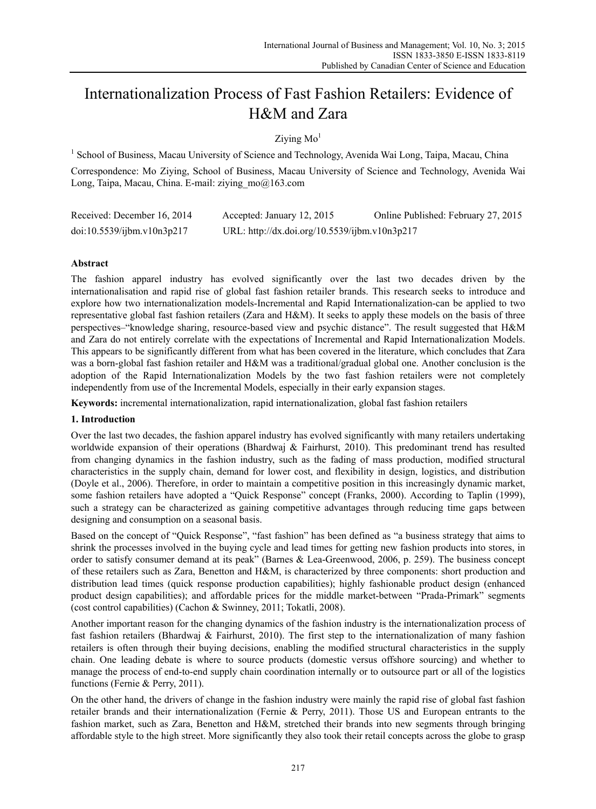# Internationalization Process of Fast Fashion Retailers: Evidence of H&M and Zara

# Ziying  $Mo<sup>1</sup>$

<sup>1</sup> School of Business, Macau University of Science and Technology, Avenida Wai Long, Taipa, Macau, China

Correspondence: Mo Ziying, School of Business, Macau University of Science and Technology, Avenida Wai Long, Taipa, Macau, China. E-mail: ziying\_mo@163.com

| Received: December 16, 2014 | Accepted: January 12, 2015                    | Online Published: February 27, 2015 |
|-----------------------------|-----------------------------------------------|-------------------------------------|
| doi:10.5539/ijbm.v10n3p217  | URL: http://dx.doi.org/10.5539/ijbm.v10n3p217 |                                     |

# **Abstract**

The fashion apparel industry has evolved significantly over the last two decades driven by the internationalisation and rapid rise of global fast fashion retailer brands. This research seeks to introduce and explore how two internationalization models-Incremental and Rapid Internationalization-can be applied to two representative global fast fashion retailers (Zara and H&M). It seeks to apply these models on the basis of three perspectives–"knowledge sharing, resource-based view and psychic distance". The result suggested that H&M and Zara do not entirely correlate with the expectations of Incremental and Rapid Internationalization Models. This appears to be significantly different from what has been covered in the literature, which concludes that Zara was a born-global fast fashion retailer and H&M was a traditional/gradual global one. Another conclusion is the adoption of the Rapid Internationalization Models by the two fast fashion retailers were not completely independently from use of the Incremental Models, especially in their early expansion stages.

**Keywords:** incremental internationalization, rapid internationalization, global fast fashion retailers

# **1. Introduction**

Over the last two decades, the fashion apparel industry has evolved significantly with many retailers undertaking worldwide expansion of their operations (Bhardwaj & Fairhurst, 2010). This predominant trend has resulted from changing dynamics in the fashion industry, such as the fading of mass production, modified structural characteristics in the supply chain, demand for lower cost, and flexibility in design, logistics, and distribution (Doyle et al., 2006). Therefore, in order to maintain a competitive position in this increasingly dynamic market, some fashion retailers have adopted a "Quick Response" concept (Franks, 2000). According to Taplin (1999), such a strategy can be characterized as gaining competitive advantages through reducing time gaps between designing and consumption on a seasonal basis.

Based on the concept of "Quick Response", "fast fashion" has been defined as "a business strategy that aims to shrink the processes involved in the buying cycle and lead times for getting new fashion products into stores, in order to satisfy consumer demand at its peak" (Barnes & Lea-Greenwood, 2006, p. 259). The business concept of these retailers such as Zara, Benetton and H&M, is characterized by three components: short production and distribution lead times (quick response production capabilities); highly fashionable product design (enhanced product design capabilities); and affordable prices for the middle market-between "Prada-Primark" segments (cost control capabilities) (Cachon & Swinney, 2011; Tokatli, 2008).

Another important reason for the changing dynamics of the fashion industry is the internationalization process of fast fashion retailers (Bhardwaj & Fairhurst, 2010). The first step to the internationalization of many fashion retailers is often through their buying decisions, enabling the modified structural characteristics in the supply chain. One leading debate is where to source products (domestic versus offshore sourcing) and whether to manage the process of end-to-end supply chain coordination internally or to outsource part or all of the logistics functions (Fernie & Perry, 2011).

On the other hand, the drivers of change in the fashion industry were mainly the rapid rise of global fast fashion retailer brands and their internationalization (Fernie & Perry, 2011). Those US and European entrants to the fashion market, such as Zara, Benetton and H&M, stretched their brands into new segments through bringing affordable style to the high street. More significantly they also took their retail concepts across the globe to grasp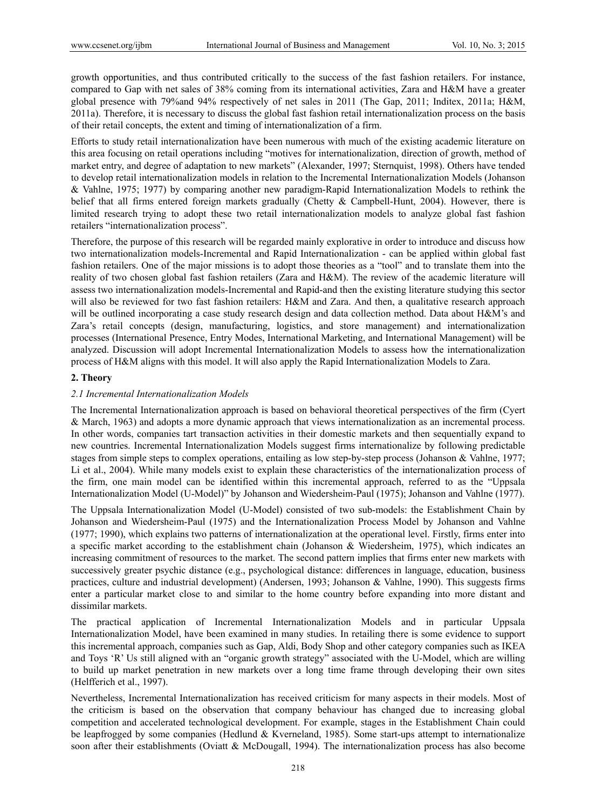growth opportunities, and thus contributed critically to the success of the fast fashion retailers. For instance, compared to Gap with net sales of 38% coming from its international activities, Zara and H&M have a greater global presence with 79%and 94% respectively of net sales in 2011 (The Gap, 2011; Inditex, 2011a; H&M, 2011a). Therefore, it is necessary to discuss the global fast fashion retail internationalization process on the basis of their retail concepts, the extent and timing of internationalization of a firm.

Efforts to study retail internationalization have been numerous with much of the existing academic literature on this area focusing on retail operations including "motives for internationalization, direction of growth, method of market entry, and degree of adaptation to new markets" (Alexander, 1997; Sternquist, 1998). Others have tended to develop retail internationalization models in relation to the Incremental Internationalization Models (Johanson & Vahlne, 1975; 1977) by comparing another new paradigm-Rapid Internationalization Models to rethink the belief that all firms entered foreign markets gradually (Chetty & Campbell-Hunt, 2004). However, there is limited research trying to adopt these two retail internationalization models to analyze global fast fashion retailers "internationalization process".

Therefore, the purpose of this research will be regarded mainly explorative in order to introduce and discuss how two internationalization models-Incremental and Rapid Internationalization - can be applied within global fast fashion retailers. One of the major missions is to adopt those theories as a "tool" and to translate them into the reality of two chosen global fast fashion retailers (Zara and H&M). The review of the academic literature will assess two internationalization models-Incremental and Rapid-and then the existing literature studying this sector will also be reviewed for two fast fashion retailers: H&M and Zara. And then, a qualitative research approach will be outlined incorporating a case study research design and data collection method. Data about H&M's and Zara's retail concepts (design, manufacturing, logistics, and store management) and internationalization processes (International Presence, Entry Modes, International Marketing, and International Management) will be analyzed. Discussion will adopt Incremental Internationalization Models to assess how the internationalization process of H&M aligns with this model. It will also apply the Rapid Internationalization Models to Zara.

## **2. Theory**

#### *2.1 Incremental Internationalization Models*

The Incremental Internationalization approach is based on behavioral theoretical perspectives of the firm (Cyert & March, 1963) and adopts a more dynamic approach that views internationalization as an incremental process. In other words, companies tart transaction activities in their domestic markets and then sequentially expand to new countries. Incremental Internationalization Models suggest firms internationalize by following predictable stages from simple steps to complex operations, entailing as low step-by-step process (Johanson & Vahlne, 1977; Li et al., 2004). While many models exist to explain these characteristics of the internationalization process of the firm, one main model can be identified within this incremental approach, referred to as the "Uppsala Internationalization Model (U-Model)" by Johanson and Wiedersheim-Paul (1975); Johanson and Vahlne (1977).

The Uppsala Internationalization Model (U-Model) consisted of two sub-models: the Establishment Chain by Johanson and Wiedersheim-Paul (1975) and the Internationalization Process Model by Johanson and Vahlne (1977; 1990), which explains two patterns of internationalization at the operational level. Firstly, firms enter into a specific market according to the establishment chain (Johanson & Wiedersheim, 1975), which indicates an increasing commitment of resources to the market. The second pattern implies that firms enter new markets with successively greater psychic distance (e.g., psychological distance: differences in language, education, business practices, culture and industrial development) (Andersen, 1993; Johanson & Vahlne, 1990). This suggests firms enter a particular market close to and similar to the home country before expanding into more distant and dissimilar markets.

The practical application of Incremental Internationalization Models and in particular Uppsala Internationalization Model, have been examined in many studies. In retailing there is some evidence to support this incremental approach, companies such as Gap, Aldi, Body Shop and other category companies such as IKEA and Toys 'R' Us still aligned with an "organic growth strategy" associated with the U-Model, which are willing to build up market penetration in new markets over a long time frame through developing their own sites (Helfferich et al., 1997).

Nevertheless, Incremental Internationalization has received criticism for many aspects in their models. Most of the criticism is based on the observation that company behaviour has changed due to increasing global competition and accelerated technological development. For example, stages in the Establishment Chain could be leapfrogged by some companies (Hedlund & Kverneland, 1985). Some start-ups attempt to internationalize soon after their establishments (Oviatt & McDougall, 1994). The internationalization process has also become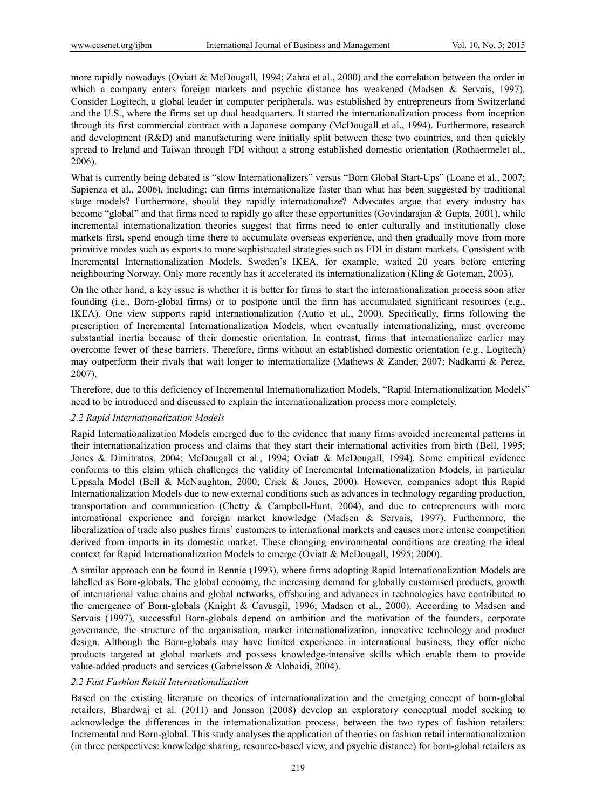more rapidly nowadays (Oviatt & McDougall, 1994; Zahra et al., 2000) and the correlation between the order in which a company enters foreign markets and psychic distance has weakened (Madsen & Servais, 1997). Consider Logitech, a global leader in computer peripherals, was established by entrepreneurs from Switzerland and the U.S., where the firms set up dual headquarters. It started the internationalization process from inception through its first commercial contract with a Japanese company (McDougall et al., 1994). Furthermore, research and development (R&D) and manufacturing were initially split between these two countries, and then quickly spread to Ireland and Taiwan through FDI without a strong established domestic orientation (Rothaermelet al., 2006).

What is currently being debated is "slow Internationalizers" versus "Born Global Start-Ups" (Loane et al*.*, 2007; Sapienza et al., 2006), including: can firms internationalize faster than what has been suggested by traditional stage models? Furthermore, should they rapidly internationalize? Advocates argue that every industry has become "global" and that firms need to rapidly go after these opportunities (Govindarajan & Gupta, 2001), while incremental internationalization theories suggest that firms need to enter culturally and institutionally close markets first, spend enough time there to accumulate overseas experience, and then gradually move from more primitive modes such as exports to more sophisticated strategies such as FDI in distant markets. Consistent with Incremental Internationalization Models, Sweden's IKEA, for example, waited 20 years before entering neighbouring Norway. Only more recently has it accelerated its internationalization (Kling & Goteman, 2003).

On the other hand, a key issue is whether it is better for firms to start the internationalization process soon after founding (i.e., Born-global firms) or to postpone until the firm has accumulated significant resources (e.g., IKEA). One view supports rapid internationalization (Autio et al*.*, 2000). Specifically, firms following the prescription of Incremental Internationalization Models, when eventually internationalizing, must overcome substantial inertia because of their domestic orientation. In contrast, firms that internationalize earlier may overcome fewer of these barriers. Therefore, firms without an established domestic orientation (e.g., Logitech) may outperform their rivals that wait longer to internationalize (Mathews & Zander, 2007; Nadkarni & Perez, 2007).

Therefore, due to this deficiency of Incremental Internationalization Models, "Rapid Internationalization Models" need to be introduced and discussed to explain the internationalization process more completely.

# *2.2 Rapid Internationalization Models*

Rapid Internationalization Models emerged due to the evidence that many firms avoided incremental patterns in their internationalization process and claims that they start their international activities from birth (Bell, 1995; Jones & Dimitratos, 2004; McDougall et al*.*, 1994; Oviatt & McDougall, 1994). Some empirical evidence conforms to this claim which challenges the validity of Incremental Internationalization Models, in particular Uppsala Model (Bell & McNaughton, 2000; Crick & Jones, 2000). However, companies adopt this Rapid Internationalization Models due to new external conditions such as advances in technology regarding production, transportation and communication (Chetty & Campbell-Hunt, 2004), and due to entrepreneurs with more international experience and foreign market knowledge (Madsen & Servais, 1997). Furthermore, the liberalization of trade also pushes firms' customers to international markets and causes more intense competition derived from imports in its domestic market. These changing environmental conditions are creating the ideal context for Rapid Internationalization Models to emerge (Oviatt & McDougall, 1995; 2000).

A similar approach can be found in Rennie (1993), where firms adopting Rapid Internationalization Models are labelled as Born-globals. The global economy, the increasing demand for globally customised products, growth of international value chains and global networks, offshoring and advances in technologies have contributed to the emergence of Born-globals (Knight & Cavusgil, 1996; Madsen et al*.*, 2000). According to Madsen and Servais (1997), successful Born-globals depend on ambition and the motivation of the founders, corporate governance, the structure of the organisation, market internationalization, innovative technology and product design. Although the Born-globals may have limited experience in international business, they offer niche products targeted at global markets and possess knowledge-intensive skills which enable them to provide value-added products and services (Gabrielsson & Alobaidi, 2004).

# *2.2 Fast Fashion Retail Internationalization*

Based on the existing literature on theories of internationalization and the emerging concept of born-global retailers, Bhardwaj et al*.* (2011) and Jonsson (2008) develop an exploratory conceptual model seeking to acknowledge the differences in the internationalization process, between the two types of fashion retailers: Incremental and Born-global. This study analyses the application of theories on fashion retail internationalization (in three perspectives: knowledge sharing, resource-based view, and psychic distance) for born-global retailers as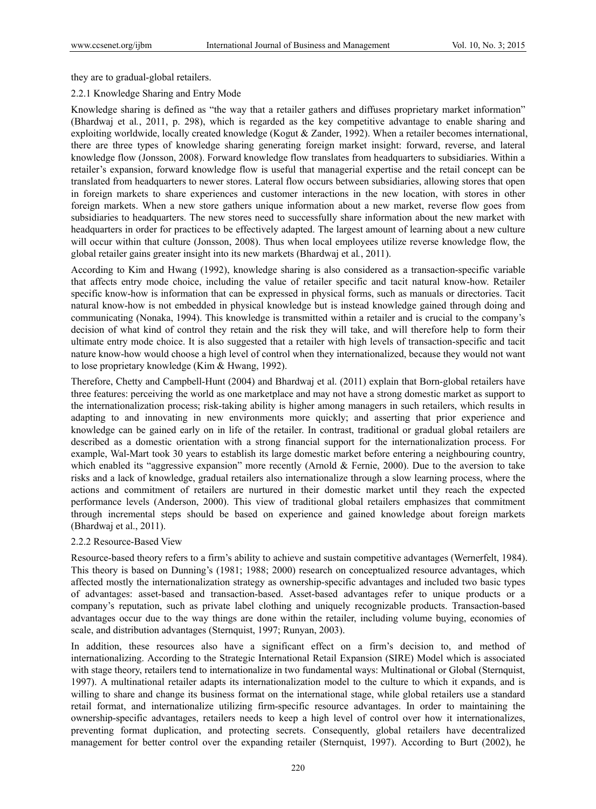they are to gradual-global retailers.

2.2.1 Knowledge Sharing and Entry Mode

Knowledge sharing is defined as "the way that a retailer gathers and diffuses proprietary market information" (Bhardwaj et al*.*, 2011, p. 298), which is regarded as the key competitive advantage to enable sharing and exploiting worldwide, locally created knowledge (Kogut & Zander, 1992). When a retailer becomes international, there are three types of knowledge sharing generating foreign market insight: forward, reverse, and lateral knowledge flow (Jonsson, 2008). Forward knowledge flow translates from headquarters to subsidiaries. Within a retailer's expansion, forward knowledge flow is useful that managerial expertise and the retail concept can be translated from headquarters to newer stores. Lateral flow occurs between subsidiaries, allowing stores that open in foreign markets to share experiences and customer interactions in the new location, with stores in other foreign markets. When a new store gathers unique information about a new market, reverse flow goes from subsidiaries to headquarters. The new stores need to successfully share information about the new market with headquarters in order for practices to be effectively adapted. The largest amount of learning about a new culture will occur within that culture (Jonsson, 2008). Thus when local employees utilize reverse knowledge flow, the global retailer gains greater insight into its new markets (Bhardwaj et al*.*, 2011).

According to Kim and Hwang (1992), knowledge sharing is also considered as a transaction-specific variable that affects entry mode choice, including the value of retailer specific and tacit natural know-how. Retailer specific know-how is information that can be expressed in physical forms, such as manuals or directories. Tacit natural know-how is not embedded in physical knowledge but is instead knowledge gained through doing and communicating (Nonaka, 1994). This knowledge is transmitted within a retailer and is crucial to the company's decision of what kind of control they retain and the risk they will take, and will therefore help to form their ultimate entry mode choice. It is also suggested that a retailer with high levels of transaction-specific and tacit nature know-how would choose a high level of control when they internationalized, because they would not want to lose proprietary knowledge (Kim & Hwang, 1992).

Therefore, Chetty and Campbell-Hunt (2004) and Bhardwaj et al. (2011) explain that Born-global retailers have three features: perceiving the world as one marketplace and may not have a strong domestic market as support to the internationalization process; risk-taking ability is higher among managers in such retailers, which results in adapting to and innovating in new environments more quickly; and asserting that prior experience and knowledge can be gained early on in life of the retailer. In contrast, traditional or gradual global retailers are described as a domestic orientation with a strong financial support for the internationalization process. For example, Wal-Mart took 30 years to establish its large domestic market before entering a neighbouring country, which enabled its "aggressive expansion" more recently (Arnold & Fernie, 2000). Due to the aversion to take risks and a lack of knowledge, gradual retailers also internationalize through a slow learning process, where the actions and commitment of retailers are nurtured in their domestic market until they reach the expected performance levels (Anderson, 2000). This view of traditional global retailers emphasizes that commitment through incremental steps should be based on experience and gained knowledge about foreign markets (Bhardwaj et al., 2011).

# 2.2.2 Resource-Based View

Resource-based theory refers to a firm's ability to achieve and sustain competitive advantages (Wernerfelt, 1984). This theory is based on Dunning's (1981; 1988; 2000) research on conceptualized resource advantages, which affected mostly the internationalization strategy as ownership-specific advantages and included two basic types of advantages: asset-based and transaction-based. Asset-based advantages refer to unique products or a company's reputation, such as private label clothing and uniquely recognizable products. Transaction-based advantages occur due to the way things are done within the retailer, including volume buying, economies of scale, and distribution advantages (Sternquist, 1997; Runyan, 2003).

In addition, these resources also have a significant effect on a firm's decision to, and method of internationalizing. According to the Strategic International Retail Expansion (SIRE) Model which is associated with stage theory, retailers tend to internationalize in two fundamental ways: Multinational or Global (Sternquist, 1997). A multinational retailer adapts its internationalization model to the culture to which it expands, and is willing to share and change its business format on the international stage, while global retailers use a standard retail format, and internationalize utilizing firm-specific resource advantages. In order to maintaining the ownership-specific advantages, retailers needs to keep a high level of control over how it internationalizes, preventing format duplication, and protecting secrets. Consequently, global retailers have decentralized management for better control over the expanding retailer (Sternquist, 1997). According to Burt (2002), he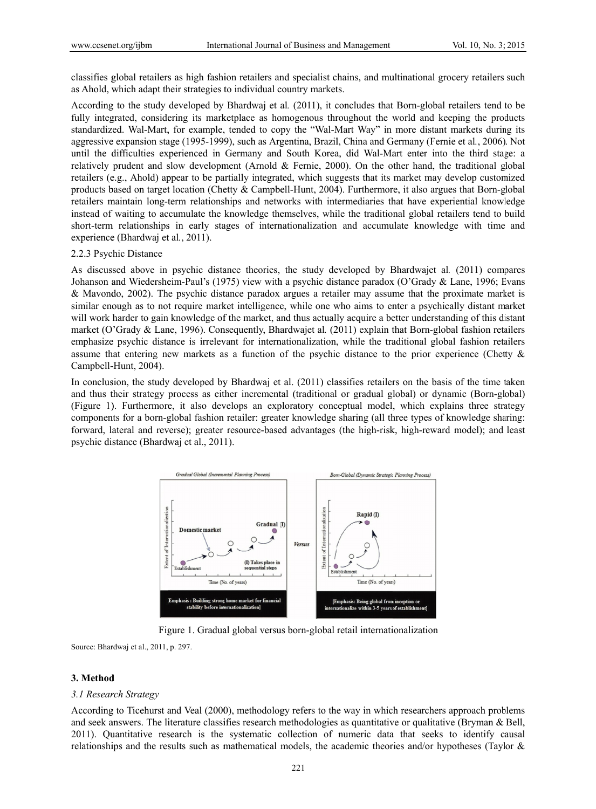classifies global retailers as high fashion retailers and specialist chains, and multinational grocery retailers such as Ahold, which adapt their strategies to individual country markets.

According to the study developed by Bhardwaj et al. (2011), it concludes that Born-global retailers tend to be fully integrated, considering its marketplace as homogenous throughout the world and keeping the products standardized. Wal-Mart, for example, tended to copy the "Wal-Mart Way" in more distant markets during its aggressive expansion stage (1995-1999), such as Argentina, Brazil, China and Germany (Fernie et al., 2006). Not until the difficulties experienced in Germany and South Korea, did Wal-Mart enter into the third stage: a relatively prudent and slow development (Arnold & Fernie, 2000). On the other hand, the traditional global retailers (e.g., Ahold) appear to be partially integrated, which suggests that its market may develop customized products based on target location (Chetty & Campbell-Hunt, 2004). Furthermore, it also argues that Born-global retailers maintain long-term relationships and networks with intermediaries that have experiential knowledge instead of waiting to accumulate the knowledge themselves, while the traditional global retailers tend to build short-term relationships in early stages of internationalization and accumulate knowledge with time and experience (Bhardwai et al., 2011).

#### 2.2.3 Psychic Distance

As discussed above in psychic distance theories, the study developed by Bhardwajet al. (2011) compares Johanson and Wiedersheim-Paul's (1975) view with a psychic distance paradox (O'Grady & Lane, 1996; Evans & Mavondo, 2002). The psychic distance paradox argues a retailer may assume that the proximate market is similar enough as to not require market intelligence, while one who aims to enter a psychically distant market will work harder to gain knowledge of the market, and thus actually acquire a better understanding of this distant market (O'Grady & Lane, 1996). Consequently, Bhardwajet al. (2011) explain that Born-global fashion retailers emphasize psychic distance is irrelevant for internationalization, while the traditional global fashion retailers assume that entering new markets as a function of the psychic distance to the prior experience (Chetty  $\&$ Campbell-Hunt, 2004).

In conclusion, the study developed by Bhardwaj et al. (2011) classifies retailers on the basis of the time taken and thus their strategy process as either incremental (traditional or gradual global) or dynamic (Born-global) (Figure 1). Furthermore, it also develops an exploratory conceptual model, which explains three strategy components for a born-global fashion retailer: greater knowledge sharing (all three types of knowledge sharing: forward, lateral and reverse); greater resource-based advantages (the high-risk, high-reward model); and least psychic distance (Bhardwaj et al., 2011).



Figure 1. Gradual global versus born-global retail internationalization

Source: Bhardwaj et al., 2011, p. 297.

#### 3. Method

#### 3.1 Research Strategy

According to Ticehurst and Veal (2000), methodology refers to the way in which researchers approach problems and seek answers. The literature classifies research methodologies as quantitative or qualitative (Bryman & Bell, 2011). Quantitative research is the systematic collection of numeric data that seeks to identify causal relationships and the results such as mathematical models, the academic theories and/or hypotheses (Taylor  $\&$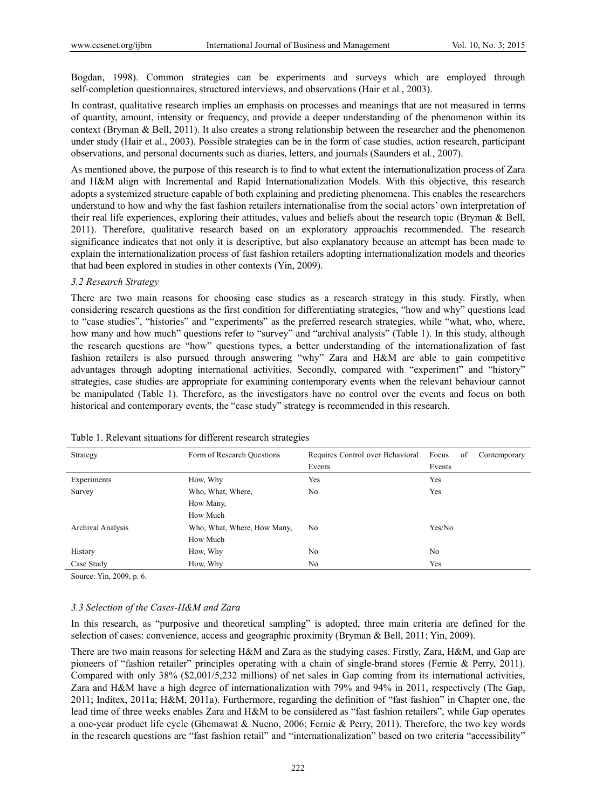Bogdan, 1998). Common strategies can be experiments and surveys which are employed through self-completion questionnaires, structured interviews, and observations (Hair et al*.*, 2003).

In contrast, qualitative research implies an emphasis on processes and meanings that are not measured in terms of quantity, amount, intensity or frequency, and provide a deeper understanding of the phenomenon within its context (Bryman & Bell, 2011). It also creates a strong relationship between the researcher and the phenomenon under study (Hair et al., 2003). Possible strategies can be in the form of case studies, action research, participant observations, and personal documents such as diaries, letters, and journals (Saunders et al*.*, 2007).

As mentioned above, the purpose of this research is to find to what extent the internationalization process of Zara and H&M align with Incremental and Rapid Internationalization Models. With this objective, this research adopts a systemized structure capable of both explaining and predicting phenomena. This enables the researchers understand to how and why the fast fashion retailers internationalise from the social actors' own interpretation of their real life experiences, exploring their attitudes, values and beliefs about the research topic (Bryman & Bell, 2011). Therefore, qualitative research based on an exploratory approachis recommended. The research significance indicates that not only it is descriptive, but also explanatory because an attempt has been made to explain the internationalization process of fast fashion retailers adopting internationalization models and theories that had been explored in studies in other contexts (Yin, 2009).

#### *3.2 Research Strategy*

There are two main reasons for choosing case studies as a research strategy in this study. Firstly, when considering research questions as the first condition for differentiating strategies, "how and why" questions lead to "case studies", "histories" and "experiments" as the preferred research strategies, while "what, who, where, how many and how much" questions refer to "survey" and "archival analysis" (Table 1). In this study, although the research questions are "how" questions types, a better understanding of the internationalization of fast fashion retailers is also pursued through answering "why" Zara and H&M are able to gain competitive advantages through adopting international activities. Secondly, compared with "experiment" and "history" strategies, case studies are appropriate for examining contemporary events when the relevant behaviour cannot be manipulated (Table 1). Therefore, as the investigators have no control over the events and focus on both historical and contemporary events, the "case study" strategy is recommended in this research.

| Strategy          | Form of Research Questions  | Requires Control over Behavioral | Focus<br>of<br>Contemporary |
|-------------------|-----------------------------|----------------------------------|-----------------------------|
|                   |                             | Events                           | Events                      |
| Experiments       | How, Why                    | Yes                              | Yes                         |
| Survey            | Who, What, Where,           | No                               | Yes                         |
|                   | How Many,                   |                                  |                             |
|                   | How Much                    |                                  |                             |
| Archival Analysis | Who, What, Where, How Many, | No                               | Yes/No                      |
|                   | How Much                    |                                  |                             |
| History           | How, Why                    | No                               | No                          |
| Case Study        | How, Why                    | No                               | Yes                         |

Table 1. Relevant situations for different research strategies

Source: Yin, 2009, p. 6.

#### *3.3 Selection of the Cases-H&M and Zara*

In this research, as "purposive and theoretical sampling" is adopted, three main criteria are defined for the selection of cases: convenience, access and geographic proximity (Bryman & Bell, 2011; Yin, 2009).

There are two main reasons for selecting H&M and Zara as the studying cases. Firstly, Zara, H&M, and Gap are pioneers of "fashion retailer" principles operating with a chain of single-brand stores (Fernie & Perry, 2011). Compared with only 38% (\$2,001/5,232 millions) of net sales in Gap coming from its international activities, Zara and H&M have a high degree of internationalization with 79% and 94% in 2011, respectively (The Gap, 2011; Inditex, 2011a; H&M, 2011a). Furthermore, regarding the definition of "fast fashion" in Chapter one, the lead time of three weeks enables Zara and H&M to be considered as "fast fashion retailers", while Gap operates a one-year product life cycle (Ghemawat & Nueno, 2006; Fernie & Perry, 2011). Therefore, the two key words in the research questions are "fast fashion retail" and "internationalization" based on two criteria "accessibility"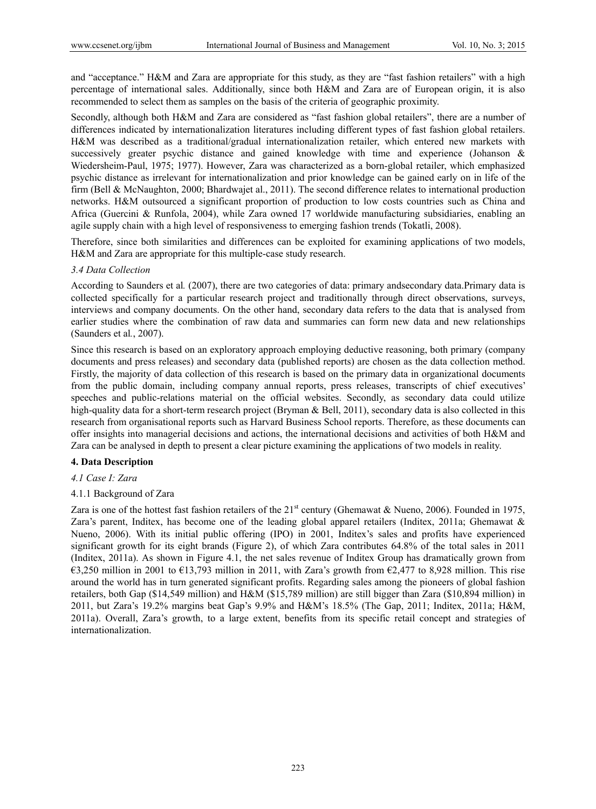and "acceptance." H&M and Zara are appropriate for this study, as they are "fast fashion retailers" with a high percentage of international sales. Additionally, since both H&M and Zara are of European origin, it is also recommended to select them as samples on the basis of the criteria of geographic proximity.

Secondly, although both H&M and Zara are considered as "fast fashion global retailers", there are a number of differences indicated by internationalization literatures including different types of fast fashion global retailers. H&M was described as a traditional/gradual internationalization retailer, which entered new markets with successively greater psychic distance and gained knowledge with time and experience (Johanson & Wiedersheim-Paul, 1975; 1977). However, Zara was characterized as a born-global retailer, which emphasized psychic distance as irrelevant for internationalization and prior knowledge can be gained early on in life of the firm (Bell & McNaughton, 2000; Bhardwajet al., 2011). The second difference relates to international production networks. H&M outsourced a significant proportion of production to low costs countries such as China and Africa (Guercini & Runfola, 2004), while Zara owned 17 worldwide manufacturing subsidiaries, enabling an agile supply chain with a high level of responsiveness to emerging fashion trends (Tokatli, 2008).

Therefore, since both similarities and differences can be exploited for examining applications of two models, H&M and Zara are appropriate for this multiple-case study research.

# *3.4 Data Collection*

According to Saunders et al. (2007), there are two categories of data: primary andsecondary data.Primary data is collected specifically for a particular research project and traditionally through direct observations, surveys, interviews and company documents. On the other hand, secondary data refers to the data that is analysed from earlier studies where the combination of raw data and summaries can form new data and new relationships (Saunders et al*.*, 2007).

Since this research is based on an exploratory approach employing deductive reasoning, both primary (company documents and press releases) and secondary data (published reports) are chosen as the data collection method. Firstly, the majority of data collection of this research is based on the primary data in organizational documents from the public domain, including company annual reports, press releases, transcripts of chief executives' speeches and public-relations material on the official websites. Secondly, as secondary data could utilize high-quality data for a short-term research project (Bryman & Bell, 2011), secondary data is also collected in this research from organisational reports such as Harvard Business School reports. Therefore, as these documents can offer insights into managerial decisions and actions, the international decisions and activities of both H&M and Zara can be analysed in depth to present a clear picture examining the applications of two models in reality.

# **4. Data Description**

*4.1 Case I: Zara*

# 4.1.1 Background of Zara

Zara is one of the hottest fast fashion retailers of the  $21<sup>st</sup>$  century (Ghemawat & Nueno, 2006). Founded in 1975, Zara's parent, Inditex, has become one of the leading global apparel retailers (Inditex, 2011a; Ghemawat & Nueno, 2006). With its initial public offering (IPO) in 2001, Inditex's sales and profits have experienced significant growth for its eight brands (Figure 2), of which Zara contributes 64.8% of the total sales in 2011 (Inditex, 2011a). As shown in Figure 4.1, the net sales revenue of Inditex Group has dramatically grown from €3,250 million in 2001 to €13,793 million in 2011, with Zara's growth from  $€2,477$  to 8,928 million. This rise around the world has in turn generated significant profits. Regarding sales among the pioneers of global fashion retailers, both Gap (\$14,549 million) and H&M (\$15,789 million) are still bigger than Zara (\$10,894 million) in 2011, but Zara's 19.2% margins beat Gap's 9.9% and H&M's 18.5% (The Gap, 2011; Inditex, 2011a; H&M, 2011a). Overall, Zara's growth, to a large extent, benefits from its specific retail concept and strategies of internationalization.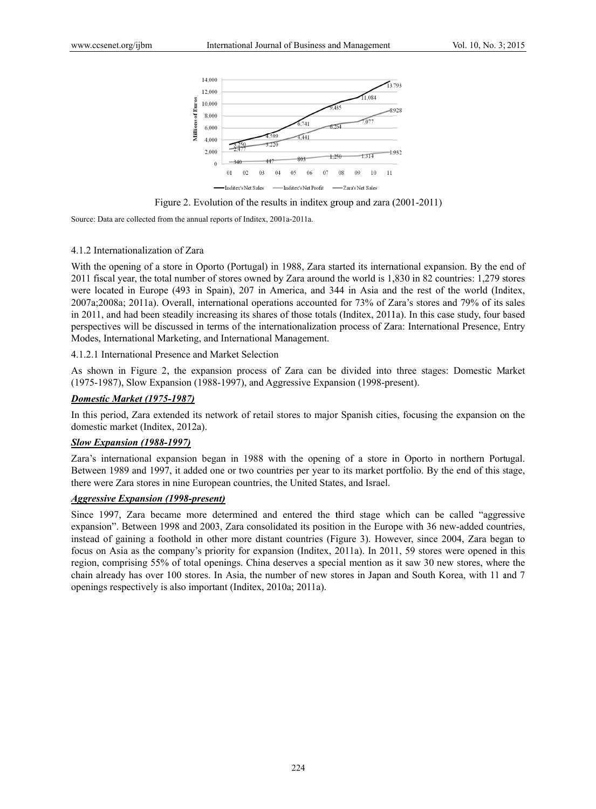

Figure 2. Evolution of the results in inditex group and zara (2001-2011)

Source: Data are collected from the annual reports of Inditex, 2001a-2011a.

#### 4.1.2 Internationalization of Zara

With the opening of a store in Oporto (Portugal) in 1988, Zara started its international expansion. By the end of 2011 fiscal year, the total number of stores owned by Zara around the world is 1,830 in 82 countries: 1,279 stores were located in Europe (493 in Spain), 207 in America, and 344 in Asia and the rest of the world (Inditex, 2007a;2008a; 2011a). Overall, international operations accounted for 73% of Zara's stores and 79% of its sales in 2011, and had been steadily increasing its shares of those totals (Inditex, 2011a). In this case study, four based perspectives will be discussed in terms of the internationalization process of Zara: International Presence, Entry Modes, International Marketing, and International Management.

#### 4.1.2.1 International Presence and Market Selection

As shown in Figure 2, the expansion process of Zara can be divided into three stages: Domestic Market (1975-1987), Slow Expansion (1988-1997), and Aggressive Expansion (1998-present).

# Domestic Market (1975-1987)

In this period, Zara extended its network of retail stores to major Spanish cities, focusing the expansion on the domestic market (Inditex, 2012a).

## **Slow Expansion (1988-1997)**

Zara's international expansion began in 1988 with the opening of a store in Oporto in northern Portugal. Between 1989 and 1997, it added one or two countries per year to its market portfolio. By the end of this stage, there were Zara stores in nine European countries, the United States, and Israel.

#### **Aggressive Expansion (1998-present)**

Since 1997, Zara became more determined and entered the third stage which can be called "aggressive" expansion". Between 1998 and 2003, Zara consolidated its position in the Europe with 36 new-added countries, instead of gaining a foothold in other more distant countries (Figure 3). However, since 2004, Zara began to focus on Asia as the company's priority for expansion (Inditex, 2011a). In 2011, 59 stores were opened in this region, comprising 55% of total openings. China deserves a special mention as it saw 30 new stores, where the chain already has over 100 stores. In Asia, the number of new stores in Japan and South Korea, with 11 and 7 openings respectively is also important (Inditex, 2010a; 2011a).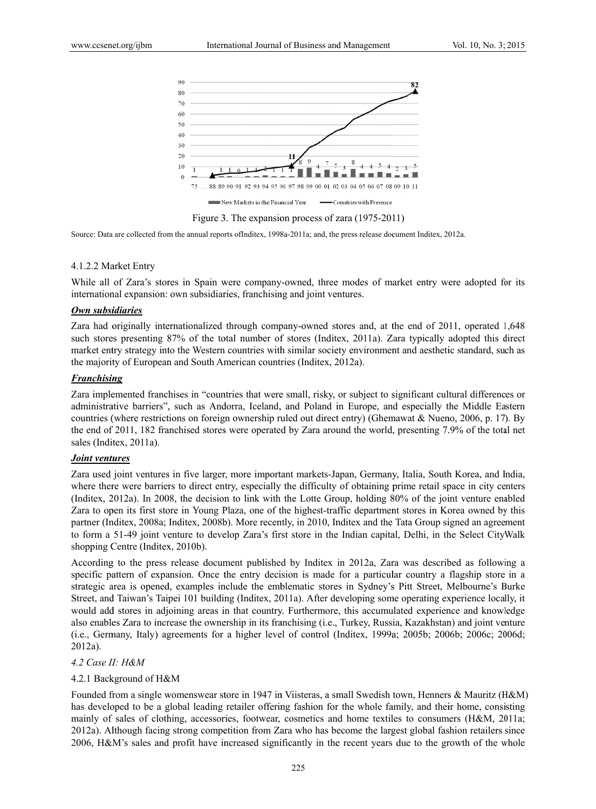

Figure 3. The expansion process of zara (1975-2011)

Source: Data are collected from the annual reports of Inditex, 1998a-2011a; and, the press release document Inditex, 2012a.

### 4.1.2.2 Market Entry

While all of Zara's stores in Spain were company-owned, three modes of market entry were adopted for its international expansion: own subsidiaries, franchising and joint ventures.

# Own subsidiaries

Zara had originally internationalized through company-owned stores and, at the end of 2011, operated 1,648 such stores presenting 87% of the total number of stores (Inditex, 2011a). Zara typically adopted this direct market entry strategy into the Western countries with similar society environment and aesthetic standard, such as the majority of European and South American countries (Inditex, 2012a).

# **Franchising**

Zara implemented franchises in "countries that were small, risky, or subject to significant cultural differences or administrative barriers", such as Andorra, Iceland, and Poland in Europe, and especially the Middle Eastern countries (where restrictions on foreign ownership ruled out direct entry) (Ghemawat & Nueno, 2006, p. 17). By the end of 2011, 182 franchised stores were operated by Zara around the world, presenting 7.9% of the total net sales (Inditex, 2011a).

## Joint ventures

Zara used joint ventures in five larger, more important markets-Japan, Germany, Italia, South Korea, and India, where there were barriers to direct entry, especially the difficulty of obtaining prime retail space in city centers (Inditex, 2012a). In 2008, the decision to link with the Lotte Group, holding 80% of the joint venture enabled Zara to open its first store in Young Plaza, one of the highest-traffic department stores in Korea owned by this partner (Inditex, 2008a; Inditex, 2008b). More recently, in 2010, Inditex and the Tata Group signed an agreement to form a 51-49 joint venture to develop Zara's first store in the Indian capital, Delhi, in the Select CityWalk shopping Centre (Inditex, 2010b).

According to the press release document published by Inditex in 2012a, Zara was described as following a specific pattern of expansion. Once the entry decision is made for a particular country a flagship store in a strategic area is opened, examples include the emblematic stores in Sydney's Pitt Street, Melbourne's Burke Street, and Taiwan's Taipei 101 building (Inditex, 2011a). After developing some operating experience locally, it would add stores in adjoining areas in that country. Furthermore, this accumulated experience and knowledge also enables Zara to increase the ownership in its franchising (i.e., Turkey, Russia, Kazakhstan) and joint venture (i.e., Germany, Italy) agreements for a higher level of control (Inditex, 1999a; 2005b; 2006b; 2006c; 2006d;  $2012a$ ).

#### 4.2 Case II: H&M

# 4.2.1 Background of H&M

Founded from a single womenswear store in 1947 in Viisteras, a small Swedish town, Henners & Mauritz (H&M) has developed to be a global leading retailer offering fashion for the whole family, and their home, consisting mainly of sales of clothing, accessories, footwear, cosmetics and home textiles to consumers (H&M, 2011a; 2012a). Although facing strong competition from Zara who has become the largest global fashion retailers since 2006, H&M's sales and profit have increased significantly in the recent years due to the growth of the whole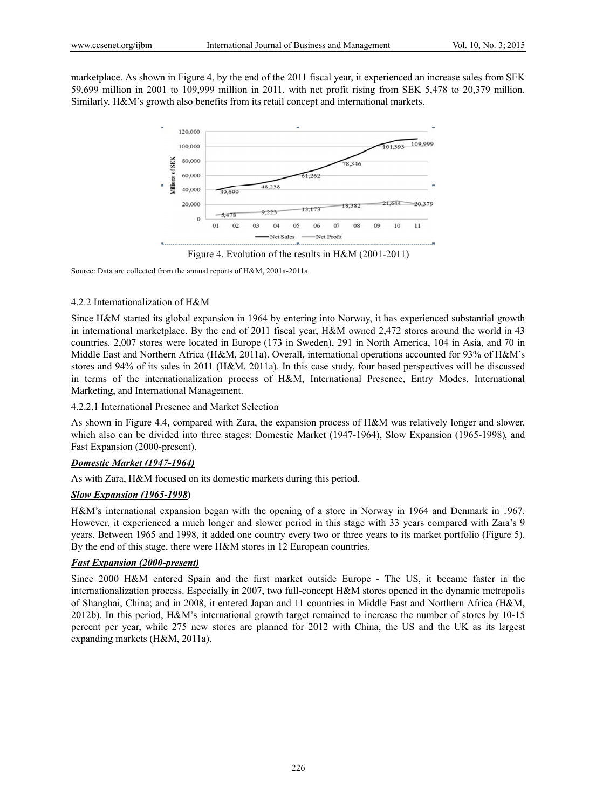marketplace. As shown in Figure 4, by the end of the 2011 fiscal year, it experienced an increase sales from SEK 59,699 million in 2001 to 109,999 million in 2011, with net profit rising from SEK 5,478 to 20,379 million. Similarly, H&M's growth also benefits from its retail concept and international markets.



Figure 4. Evolution of the results in H&M (2001-2011)

Source: Data are collected from the annual reports of H&M, 2001a-2011a.

# 4.2.2 Internationalization of H&M

Since H&M started its global expansion in 1964 by entering into Norway, it has experienced substantial growth in international marketplace. By the end of 2011 fiscal year, H&M owned 2,472 stores around the world in 43 countries. 2,007 stores were located in Europe (173 in Sweden), 291 in North America, 104 in Asia, and 70 in Middle East and Northern Africa (H&M, 2011a). Overall, international operations accounted for 93% of H&M's stores and 94% of its sales in 2011 (H&M, 2011a). In this case study, four based perspectives will be discussed in terms of the internationalization process of H&M, International Presence, Entry Modes, International Marketing, and International Management.

## 4.2.2.1 International Presence and Market Selection

As shown in Figure 4.4, compared with Zara, the expansion process of H&M was relatively longer and slower, which also can be divided into three stages: Domestic Market (1947-1964), Slow Expansion (1965-1998), and Fast Expansion (2000-present).

# Domestic Market (1947-1964)

As with Zara, H&M focused on its domestic markets during this period.

# **Slow Expansion (1965-1998)**

H&M's international expansion began with the opening of a store in Norway in 1964 and Denmark in 1967. However, it experienced a much longer and slower period in this stage with 33 years compared with Zara's 9 years. Between 1965 and 1998, it added one country every two or three years to its market portfolio (Figure 5). By the end of this stage, there were H&M stores in 12 European countries.

# **Fast Expansion (2000-present)**

Since 2000 H&M entered Spain and the first market outside Europe - The US, it became faster in the internationalization process. Especially in 2007, two full-concept H&M stores opened in the dynamic metropolis of Shanghai, China; and in 2008, it entered Japan and 11 countries in Middle East and Northern Africa (H&M, 2012b). In this period, H&M's international growth target remained to increase the number of stores by 10-15 percent per year, while 275 new stores are planned for 2012 with China, the US and the UK as its largest expanding markets (H&M, 2011a).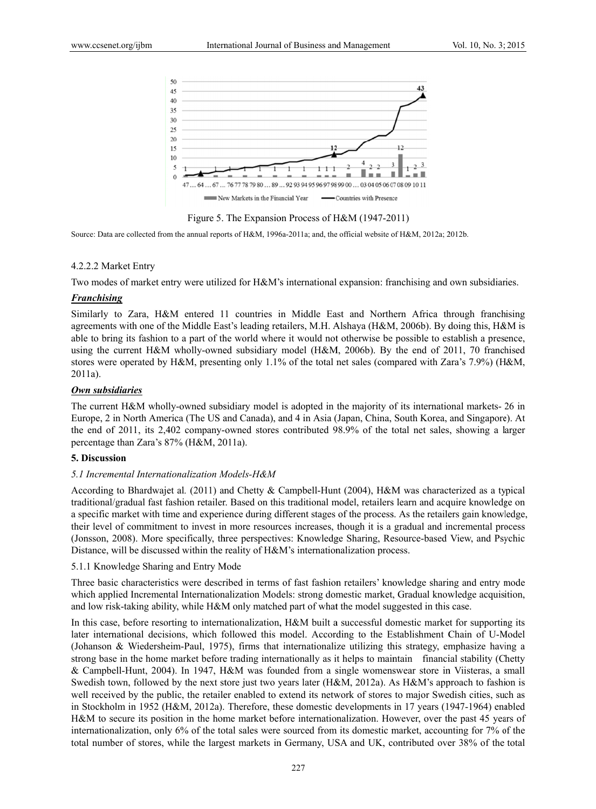

Figure 5. The Expansion Process of H&M (1947-2011)

Source: Data are collected from the annual reports of H&M, 1996a-2011a; and, the official website of H&M, 2012a; 2012b.

#### 4.2.2.2 Market Entry

Two modes of market entry were utilized for H&M's international expansion: franchising and own subsidiaries.

#### **Franchising**

Similarly to Zara, H&M entered 11 countries in Middle East and Northern Africa through franchising agreements with one of the Middle East's leading retailers, M.H. Alshaya (H&M, 2006b). By doing this, H&M is able to bring its fashion to a part of the world where it would not otherwise be possible to establish a presence, using the current H&M wholly-owned subsidiary model (H&M, 2006b). By the end of 2011, 70 franchised stores were operated by H&M, presenting only 1.1% of the total net sales (compared with Zara's 7.9%) (H&M,  $2011a$ ).

#### Own subsidiaries

The current H&M wholly-owned subsidiary model is adopted in the majority of its international markets-26 in Europe, 2 in North America (The US and Canada), and 4 in Asia (Japan, China, South Korea, and Singapore). At the end of 2011, its 2,402 company-owned stores contributed 98.9% of the total net sales, showing a larger percentage than Zara's 87% (H&M, 2011a).

#### 5. Discussion

#### 5.1 Incremental Internationalization Models-H&M

According to Bhardwajet al. (2011) and Chetty & Campbell-Hunt (2004), H&M was characterized as a typical traditional/gradual fast fashion retailer. Based on this traditional model, retailers learn and acquire knowledge on a specific market with time and experience during different stages of the process. As the retailers gain knowledge, their level of commitment to invest in more resources increases, though it is a gradual and incremental process (Jonsson, 2008). More specifically, three perspectives: Knowledge Sharing, Resource-based View, and Psychic Distance, will be discussed within the reality of H&M's internationalization process.

#### 5.1.1 Knowledge Sharing and Entry Mode

Three basic characteristics were described in terms of fast fashion retailers' knowledge sharing and entry mode which applied Incremental Internationalization Models: strong domestic market, Gradual knowledge acquisition, and low risk-taking ability, while H&M only matched part of what the model suggested in this case.

In this case, before resorting to internationalization, H&M built a successful domestic market for supporting its later international decisions, which followed this model. According to the Establishment Chain of U-Model (Johanson & Wiedersheim-Paul, 1975), firms that internationalize utilizing this strategy, emphasize having a strong base in the home market before trading internationally as it helps to maintain financial stability (Chetty & Campbell-Hunt, 2004). In 1947, H&M was founded from a single womenswear store in Viisteras, a small Swedish town, followed by the next store just two years later (H&M, 2012a). As H&M's approach to fashion is well received by the public, the retailer enabled to extend its network of stores to major Swedish cities, such as in Stockholm in 1952 (H&M, 2012a). Therefore, these domestic developments in 17 years (1947-1964) enabled H&M to secure its position in the home market before internationalization. However, over the past 45 years of internationalization, only 6% of the total sales were sourced from its domestic market, accounting for 7% of the total number of stores, while the largest markets in Germany, USA and UK, contributed over 38% of the total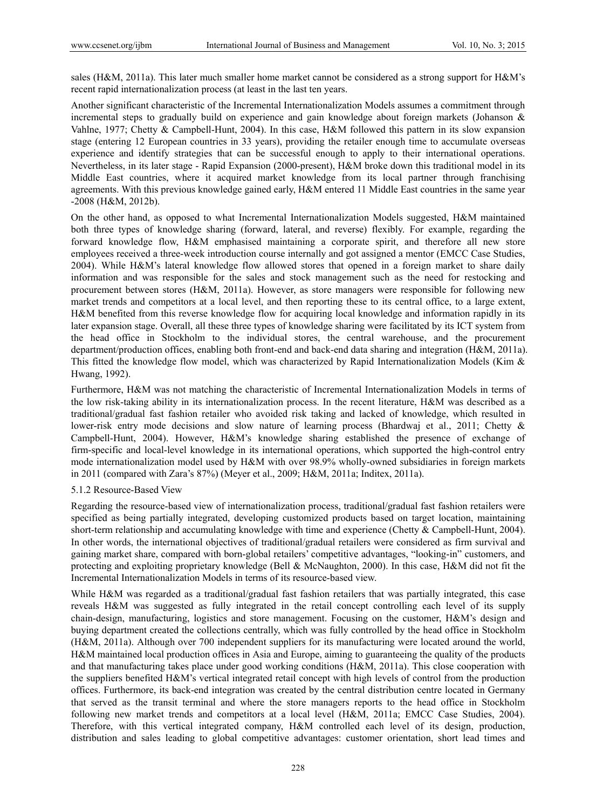sales (H&M, 2011a). This later much smaller home market cannot be considered as a strong support for H&M's recent rapid internationalization process (at least in the last ten years.

Another significant characteristic of the Incremental Internationalization Models assumes a commitment through incremental steps to gradually build on experience and gain knowledge about foreign markets (Johanson & Vahlne, 1977; Chetty & Campbell-Hunt, 2004). In this case, H&M followed this pattern in its slow expansion stage (entering 12 European countries in 33 years), providing the retailer enough time to accumulate overseas experience and identify strategies that can be successful enough to apply to their international operations. Nevertheless, in its later stage - Rapid Expansion (2000-present), H&M broke down this traditional model in its Middle East countries, where it acquired market knowledge from its local partner through franchising agreements. With this previous knowledge gained early, H&M entered 11 Middle East countries in the same year -2008 (H&M, 2012b).

On the other hand, as opposed to what Incremental Internationalization Models suggested, H&M maintained both three types of knowledge sharing (forward, lateral, and reverse) flexibly. For example, regarding the forward knowledge flow, H&M emphasised maintaining a corporate spirit, and therefore all new store employees received a three-week introduction course internally and got assigned a mentor (EMCC Case Studies, 2004). While H&M's lateral knowledge flow allowed stores that opened in a foreign market to share daily information and was responsible for the sales and stock management such as the need for restocking and procurement between stores (H&M, 2011a). However, as store managers were responsible for following new market trends and competitors at a local level, and then reporting these to its central office, to a large extent, H&M benefited from this reverse knowledge flow for acquiring local knowledge and information rapidly in its later expansion stage. Overall, all these three types of knowledge sharing were facilitated by its ICT system from the head office in Stockholm to the individual stores, the central warehouse, and the procurement department/production offices, enabling both front-end and back-end data sharing and integration (H&M, 2011a). This fitted the knowledge flow model, which was characterized by Rapid Internationalization Models (Kim & Hwang, 1992).

Furthermore, H&M was not matching the characteristic of Incremental Internationalization Models in terms of the low risk-taking ability in its internationalization process. In the recent literature, H&M was described as a traditional/gradual fast fashion retailer who avoided risk taking and lacked of knowledge, which resulted in lower-risk entry mode decisions and slow nature of learning process (Bhardwaj et al., 2011; Chetty & Campbell-Hunt, 2004). However, H&M's knowledge sharing established the presence of exchange of firm-specific and local-level knowledge in its international operations, which supported the high-control entry mode internationalization model used by H&M with over 98.9% wholly-owned subsidiaries in foreign markets in 2011 (compared with Zara's 87%) (Meyer et al., 2009; H&M, 2011a; Inditex, 2011a).

#### 5.1.2 Resource-Based View

Regarding the resource-based view of internationalization process, traditional/gradual fast fashion retailers were specified as being partially integrated, developing customized products based on target location, maintaining short-term relationship and accumulating knowledge with time and experience (Chetty & Campbell-Hunt, 2004). In other words, the international objectives of traditional/gradual retailers were considered as firm survival and gaining market share, compared with born-global retailers' competitive advantages, "looking-in" customers, and protecting and exploiting proprietary knowledge (Bell & McNaughton, 2000). In this case, H&M did not fit the Incremental Internationalization Models in terms of its resource-based view.

While H&M was regarded as a traditional/gradual fast fashion retailers that was partially integrated, this case reveals H&M was suggested as fully integrated in the retail concept controlling each level of its supply chain-design, manufacturing, logistics and store management. Focusing on the customer, H&M's design and buying department created the collections centrally, which was fully controlled by the head office in Stockholm (H&M, 2011a). Although over 700 independent suppliers for its manufacturing were located around the world, H&M maintained local production offices in Asia and Europe, aiming to guaranteeing the quality of the products and that manufacturing takes place under good working conditions (H&M, 2011a). This close cooperation with the suppliers benefited H&M's vertical integrated retail concept with high levels of control from the production offices. Furthermore, its back-end integration was created by the central distribution centre located in Germany that served as the transit terminal and where the store managers reports to the head office in Stockholm following new market trends and competitors at a local level (H&M, 2011a; EMCC Case Studies, 2004). Therefore, with this vertical integrated company, H&M controlled each level of its design, production, distribution and sales leading to global competitive advantages: customer orientation, short lead times and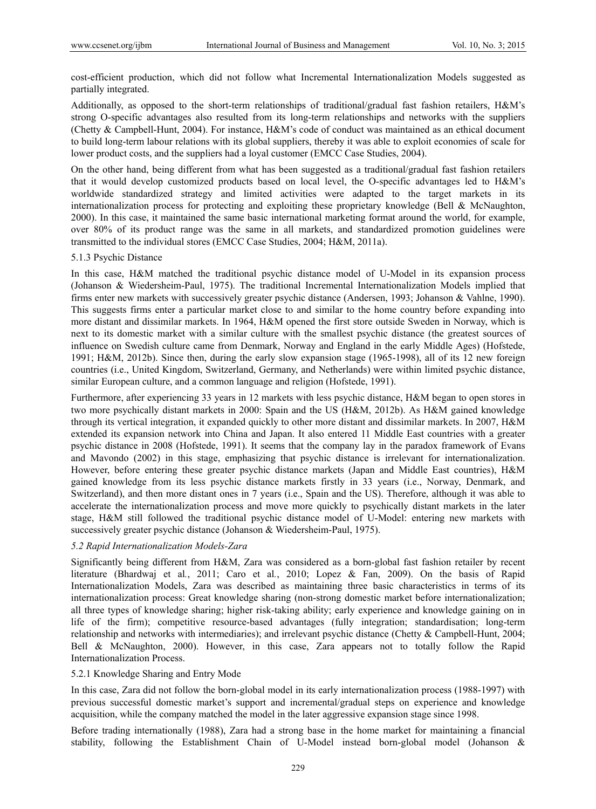cost-efficient production, which did not follow what Incremental Internationalization Models suggested as partially integrated.

Additionally, as opposed to the short-term relationships of traditional/gradual fast fashion retailers, H&M's strong O-specific advantages also resulted from its long-term relationships and networks with the suppliers (Chetty & Campbell-Hunt, 2004). For instance, H&M's code of conduct was maintained as an ethical document to build long-term labour relations with its global suppliers, thereby it was able to exploit economies of scale for lower product costs, and the suppliers had a loyal customer (EMCC Case Studies, 2004).

On the other hand, being different from what has been suggested as a traditional/gradual fast fashion retailers that it would develop customized products based on local level, the O-specific advantages led to H&M's worldwide standardized strategy and limited activities were adapted to the target markets in its internationalization process for protecting and exploiting these proprietary knowledge (Bell & McNaughton, 2000). In this case, it maintained the same basic international marketing format around the world, for example, over 80% of its product range was the same in all markets, and standardized promotion guidelines were transmitted to the individual stores (EMCC Case Studies, 2004; H&M, 2011a).

# 5.1.3 Psychic Distance

In this case, H&M matched the traditional psychic distance model of U-Model in its expansion process (Johanson & Wiedersheim-Paul, 1975). The traditional Incremental Internationalization Models implied that firms enter new markets with successively greater psychic distance (Andersen, 1993; Johanson & Vahlne, 1990). This suggests firms enter a particular market close to and similar to the home country before expanding into more distant and dissimilar markets. In 1964, H&M opened the first store outside Sweden in Norway, which is next to its domestic market with a similar culture with the smallest psychic distance (the greatest sources of influence on Swedish culture came from Denmark, Norway and England in the early Middle Ages) (Hofstede, 1991; H&M, 2012b). Since then, during the early slow expansion stage (1965-1998), all of its 12 new foreign countries (i.e., United Kingdom, Switzerland, Germany, and Netherlands) were within limited psychic distance, similar European culture, and a common language and religion (Hofstede, 1991).

Furthermore, after experiencing 33 years in 12 markets with less psychic distance, H&M began to open stores in two more psychically distant markets in 2000: Spain and the US (H&M, 2012b). As H&M gained knowledge through its vertical integration, it expanded quickly to other more distant and dissimilar markets. In 2007, H&M extended its expansion network into China and Japan. It also entered 11 Middle East countries with a greater psychic distance in 2008 (Hofstede, 1991). It seems that the company lay in the paradox framework of Evans and Mavondo (2002) in this stage, emphasizing that psychic distance is irrelevant for internationalization. However, before entering these greater psychic distance markets (Japan and Middle East countries), H&M gained knowledge from its less psychic distance markets firstly in 33 years (i.e., Norway, Denmark, and Switzerland), and then more distant ones in 7 years (i.e., Spain and the US). Therefore, although it was able to accelerate the internationalization process and move more quickly to psychically distant markets in the later stage, H&M still followed the traditional psychic distance model of U-Model: entering new markets with successively greater psychic distance (Johanson & Wiedersheim-Paul, 1975).

# *5.2 Rapid Internationalization Models-Zara*

Significantly being different from H&M, Zara was considered as a born-global fast fashion retailer by recent literature (Bhardwaj et al*.*, 2011; Caro et al*.*, 2010; Lopez & Fan, 2009). On the basis of Rapid Internationalization Models, Zara was described as maintaining three basic characteristics in terms of its internationalization process: Great knowledge sharing (non-strong domestic market before internationalization; all three types of knowledge sharing; higher risk-taking ability; early experience and knowledge gaining on in life of the firm); competitive resource-based advantages (fully integration; standardisation; long-term relationship and networks with intermediaries); and irrelevant psychic distance (Chetty & Campbell-Hunt, 2004; Bell & McNaughton, 2000). However, in this case, Zara appears not to totally follow the Rapid Internationalization Process.

## 5.2.1 Knowledge Sharing and Entry Mode

In this case, Zara did not follow the born-global model in its early internationalization process (1988-1997) with previous successful domestic market's support and incremental/gradual steps on experience and knowledge acquisition, while the company matched the model in the later aggressive expansion stage since 1998.

Before trading internationally (1988), Zara had a strong base in the home market for maintaining a financial stability, following the Establishment Chain of U-Model instead born-global model (Johanson &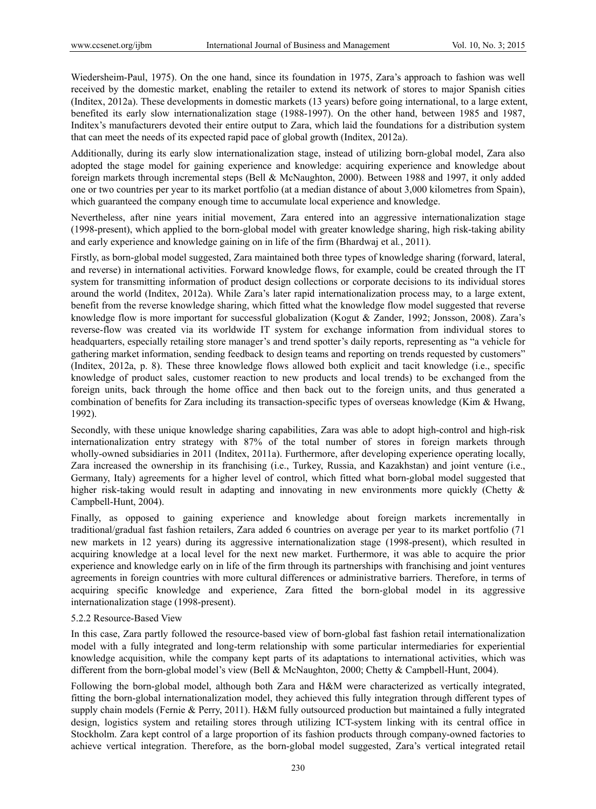Wiedersheim-Paul, 1975). On the one hand, since its foundation in 1975, Zara's approach to fashion was well received by the domestic market, enabling the retailer to extend its network of stores to major Spanish cities (Inditex, 2012a). These developments in domestic markets (13 years) before going international, to a large extent, benefited its early slow internationalization stage (1988-1997). On the other hand, between 1985 and 1987, Inditex's manufacturers devoted their entire output to Zara, which laid the foundations for a distribution system that can meet the needs of its expected rapid pace of global growth (Inditex, 2012a).

Additionally, during its early slow internationalization stage, instead of utilizing born-global model, Zara also adopted the stage model for gaining experience and knowledge: acquiring experience and knowledge about foreign markets through incremental steps (Bell & McNaughton, 2000). Between 1988 and 1997, it only added one or two countries per year to its market portfolio (at a median distance of about 3,000 kilometres from Spain), which guaranteed the company enough time to accumulate local experience and knowledge.

Nevertheless, after nine years initial movement, Zara entered into an aggressive internationalization stage (1998-present), which applied to the born-global model with greater knowledge sharing, high risk-taking ability and early experience and knowledge gaining on in life of the firm (Bhardwaj et al*.*, 2011).

Firstly, as born-global model suggested, Zara maintained both three types of knowledge sharing (forward, lateral, and reverse) in international activities. Forward knowledge flows, for example, could be created through the IT system for transmitting information of product design collections or corporate decisions to its individual stores around the world (Inditex, 2012a). While Zara's later rapid internationalization process may, to a large extent, benefit from the reverse knowledge sharing, which fitted what the knowledge flow model suggested that reverse knowledge flow is more important for successful globalization (Kogut & Zander, 1992; Jonsson, 2008). Zara's reverse-flow was created via its worldwide IT system for exchange information from individual stores to headquarters, especially retailing store manager's and trend spotter's daily reports, representing as "a vehicle for gathering market information, sending feedback to design teams and reporting on trends requested by customers" (Inditex, 2012a, p. 8). These three knowledge flows allowed both explicit and tacit knowledge (i.e., specific knowledge of product sales, customer reaction to new products and local trends) to be exchanged from the foreign units, back through the home office and then back out to the foreign units, and thus generated a combination of benefits for Zara including its transaction-specific types of overseas knowledge (Kim & Hwang, 1992).

Secondly, with these unique knowledge sharing capabilities, Zara was able to adopt high-control and high-risk internationalization entry strategy with 87% of the total number of stores in foreign markets through wholly-owned subsidiaries in 2011 (Inditex, 2011a). Furthermore, after developing experience operating locally, Zara increased the ownership in its franchising (i.e., Turkey, Russia, and Kazakhstan) and joint venture (i.e., Germany, Italy) agreements for a higher level of control, which fitted what born-global model suggested that higher risk-taking would result in adapting and innovating in new environments more quickly (Chetty & Campbell-Hunt, 2004).

Finally, as opposed to gaining experience and knowledge about foreign markets incrementally in traditional/gradual fast fashion retailers, Zara added 6 countries on average per year to its market portfolio (71 new markets in 12 years) during its aggressive internationalization stage (1998-present), which resulted in acquiring knowledge at a local level for the next new market. Furthermore, it was able to acquire the prior experience and knowledge early on in life of the firm through its partnerships with franchising and joint ventures agreements in foreign countries with more cultural differences or administrative barriers. Therefore, in terms of acquiring specific knowledge and experience, Zara fitted the born-global model in its aggressive internationalization stage (1998-present).

#### 5.2.2 Resource-Based View

In this case, Zara partly followed the resource-based view of born-global fast fashion retail internationalization model with a fully integrated and long-term relationship with some particular intermediaries for experiential knowledge acquisition, while the company kept parts of its adaptations to international activities, which was different from the born-global model's view (Bell & McNaughton, 2000; Chetty & Campbell-Hunt, 2004).

Following the born-global model, although both Zara and H&M were characterized as vertically integrated, fitting the born-global internationalization model, they achieved this fully integration through different types of supply chain models (Fernie & Perry, 2011). H&M fully outsourced production but maintained a fully integrated design, logistics system and retailing stores through utilizing ICT-system linking with its central office in Stockholm. Zara kept control of a large proportion of its fashion products through company-owned factories to achieve vertical integration. Therefore, as the born-global model suggested, Zara's vertical integrated retail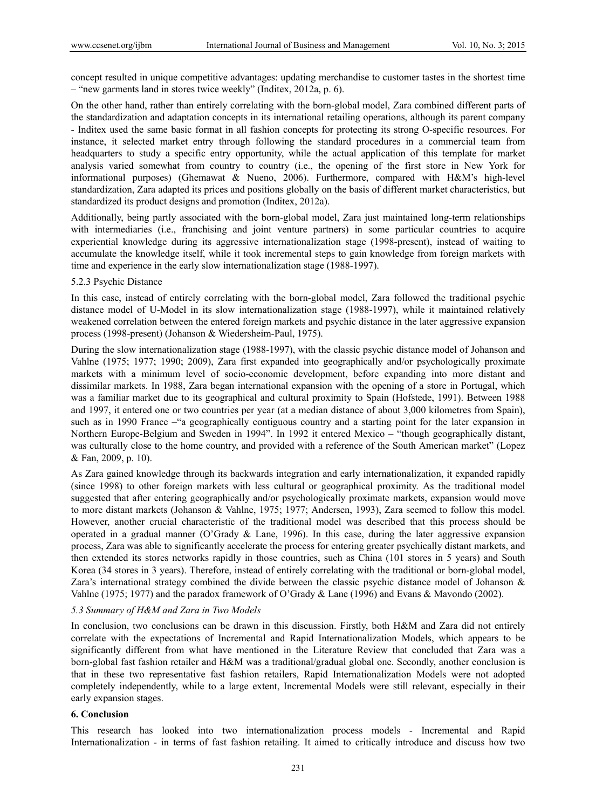concept resulted in unique competitive advantages: updating merchandise to customer tastes in the shortest time – "new garments land in stores twice weekly" (Inditex, 2012a, p. 6).

On the other hand, rather than entirely correlating with the born-global model, Zara combined different parts of the standardization and adaptation concepts in its international retailing operations, although its parent company - Inditex used the same basic format in all fashion concepts for protecting its strong O-specific resources. For instance, it selected market entry through following the standard procedures in a commercial team from headquarters to study a specific entry opportunity, while the actual application of this template for market analysis varied somewhat from country to country (i.e., the opening of the first store in New York for informational purposes) (Ghemawat & Nueno, 2006). Furthermore, compared with H&M's high-level standardization, Zara adapted its prices and positions globally on the basis of different market characteristics, but standardized its product designs and promotion (Inditex, 2012a).

Additionally, being partly associated with the born-global model, Zara just maintained long-term relationships with intermediaries (i.e., franchising and joint venture partners) in some particular countries to acquire experiential knowledge during its aggressive internationalization stage (1998-present), instead of waiting to accumulate the knowledge itself, while it took incremental steps to gain knowledge from foreign markets with time and experience in the early slow internationalization stage (1988-1997).

#### 5.2.3 Psychic Distance

In this case, instead of entirely correlating with the born-global model, Zara followed the traditional psychic distance model of U-Model in its slow internationalization stage (1988-1997), while it maintained relatively weakened correlation between the entered foreign markets and psychic distance in the later aggressive expansion process (1998-present) (Johanson & Wiedersheim-Paul, 1975).

During the slow internationalization stage (1988-1997), with the classic psychic distance model of Johanson and Vahlne (1975; 1977; 1990; 2009), Zara first expanded into geographically and/or psychologically proximate markets with a minimum level of socio-economic development, before expanding into more distant and dissimilar markets. In 1988, Zara began international expansion with the opening of a store in Portugal, which was a familiar market due to its geographical and cultural proximity to Spain (Hofstede, 1991). Between 1988 and 1997, it entered one or two countries per year (at a median distance of about 3,000 kilometres from Spain), such as in 1990 France –"a geographically contiguous country and a starting point for the later expansion in Northern Europe-Belgium and Sweden in 1994". In 1992 it entered Mexico – "though geographically distant, was culturally close to the home country, and provided with a reference of the South American market" (Lopez & Fan, 2009, p. 10).

As Zara gained knowledge through its backwards integration and early internationalization, it expanded rapidly (since 1998) to other foreign markets with less cultural or geographical proximity. As the traditional model suggested that after entering geographically and/or psychologically proximate markets, expansion would move to more distant markets (Johanson & Vahlne, 1975; 1977; Andersen, 1993), Zara seemed to follow this model. However, another crucial characteristic of the traditional model was described that this process should be operated in a gradual manner (O'Grady  $\&$  Lane, 1996). In this case, during the later aggressive expansion process, Zara was able to significantly accelerate the process for entering greater psychically distant markets, and then extended its stores networks rapidly in those countries, such as China (101 stores in 5 years) and South Korea (34 stores in 3 years). Therefore, instead of entirely correlating with the traditional or born-global model, Zara's international strategy combined the divide between the classic psychic distance model of Johanson & Vahlne (1975; 1977) and the paradox framework of O'Grady & Lane (1996) and Evans & Mavondo (2002).

## *5.3 Summary of H&M and Zara in Two Models*

In conclusion, two conclusions can be drawn in this discussion. Firstly, both H&M and Zara did not entirely correlate with the expectations of Incremental and Rapid Internationalization Models, which appears to be significantly different from what have mentioned in the Literature Review that concluded that Zara was a born-global fast fashion retailer and H&M was a traditional/gradual global one. Secondly, another conclusion is that in these two representative fast fashion retailers, Rapid Internationalization Models were not adopted completely independently, while to a large extent, Incremental Models were still relevant, especially in their early expansion stages.

#### **6. Conclusion**

This research has looked into two internationalization process models - Incremental and Rapid Internationalization - in terms of fast fashion retailing. It aimed to critically introduce and discuss how two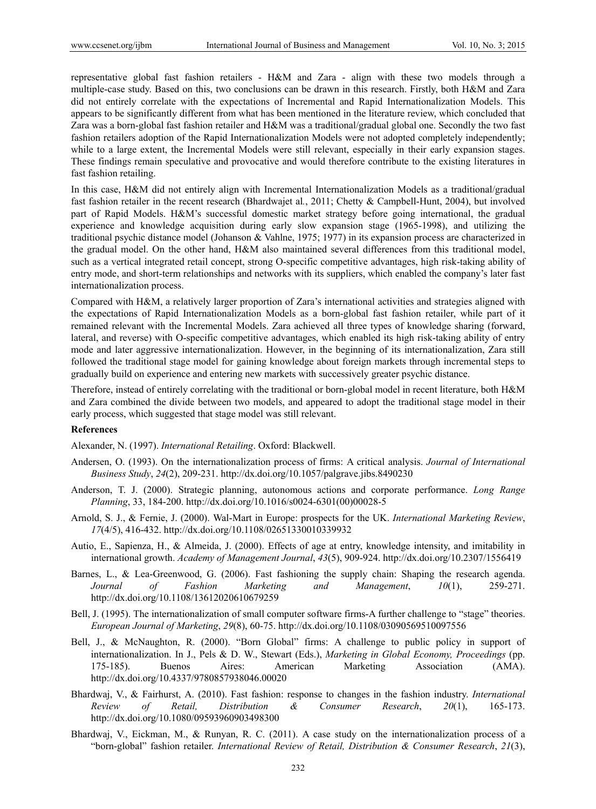representative global fast fashion retailers - H&M and Zara - align with these two models through a multiple-case study. Based on this, two conclusions can be drawn in this research. Firstly, both H&M and Zara did not entirely correlate with the expectations of Incremental and Rapid Internationalization Models. This appears to be significantly different from what has been mentioned in the literature review, which concluded that Zara was a born-global fast fashion retailer and H&M was a traditional/gradual global one. Secondly the two fast fashion retailers adoption of the Rapid Internationalization Models were not adopted completely independently; while to a large extent, the Incremental Models were still relevant, especially in their early expansion stages. These findings remain speculative and provocative and would therefore contribute to the existing literatures in fast fashion retailing.

In this case, H&M did not entirely align with Incremental Internationalization Models as a traditional/gradual fast fashion retailer in the recent research (Bhardwajet al*.*, 2011; Chetty & Campbell-Hunt, 2004), but involved part of Rapid Models. H&M's successful domestic market strategy before going international, the gradual experience and knowledge acquisition during early slow expansion stage (1965-1998), and utilizing the traditional psychic distance model (Johanson & Vahlne, 1975; 1977) in its expansion process are characterized in the gradual model. On the other hand, H&M also maintained several differences from this traditional model, such as a vertical integrated retail concept, strong O-specific competitive advantages, high risk-taking ability of entry mode, and short-term relationships and networks with its suppliers, which enabled the company's later fast internationalization process.

Compared with H&M, a relatively larger proportion of Zara's international activities and strategies aligned with the expectations of Rapid Internationalization Models as a born-global fast fashion retailer, while part of it remained relevant with the Incremental Models. Zara achieved all three types of knowledge sharing (forward, lateral, and reverse) with O-specific competitive advantages, which enabled its high risk-taking ability of entry mode and later aggressive internationalization. However, in the beginning of its internationalization, Zara still followed the traditional stage model for gaining knowledge about foreign markets through incremental steps to gradually build on experience and entering new markets with successively greater psychic distance.

Therefore, instead of entirely correlating with the traditional or born-global model in recent literature, both H&M and Zara combined the divide between two models, and appeared to adopt the traditional stage model in their early process, which suggested that stage model was still relevant.

#### **References**

Alexander, N. (1997). *International Retailing*. Oxford: Blackwell.

- Andersen, O. (1993). On the internationalization process of firms: A critical analysis. *Journal of International Business Study*, *24*(2), 209-231. http://dx.doi.org/10.1057/palgrave.jibs.8490230
- Anderson, T. J. (2000). Strategic planning, autonomous actions and corporate performance. *Long Range Planning*, 33, 184-200. http://dx.doi.org/10.1016/s0024-6301(00)00028-5
- Arnold, S. J., & Fernie, J. (2000). Wal-Mart in Europe: prospects for the UK. *International Marketing Review*, *17*(4/5), 416-432. http://dx.doi.org/10.1108/02651330010339932
- Autio, E., Sapienza, H., & Almeida, J. (2000). Effects of age at entry, knowledge intensity, and imitability in international growth. *Academy of Management Journal*, *43*(5), 909-924. http://dx.doi.org/10.2307/1556419
- Barnes, L., & Lea-Greenwood, G. (2006). Fast fashioning the supply chain: Shaping the research agenda. *Journal of Fashion Marketing and Management*, *10*(1), 259-271. http://dx.doi.org/10.1108/13612020610679259
- Bell, J. (1995). The internationalization of small computer software firms-A further challenge to "stage" theories. *European Journal of Marketing*, *29*(8), 60-75. http://dx.doi.org/10.1108/03090569510097556
- Bell, J., & McNaughton, R. (2000). "Born Global" firms: A challenge to public policy in support of internationalization. In J., Pels & D. W., Stewart (Eds.), *Marketing in Global Economy, Proceedings* (pp. 175-185). Buenos Aires: American Marketing Association (AMA). http://dx.doi.org/10.4337/9780857938046.00020
- Bhardwaj, V., & Fairhurst, A. (2010). Fast fashion: response to changes in the fashion industry. *International Review of Retail, Distribution & Consumer Research*, *20*(1), 165-173. http://dx.doi.org/10.1080/09593960903498300
- Bhardwaj, V., Eickman, M., & Runyan, R. C. (2011). A case study on the internationalization process of a "born-global" fashion retailer. *International Review of Retail, Distribution & Consumer Research*, *21*(3),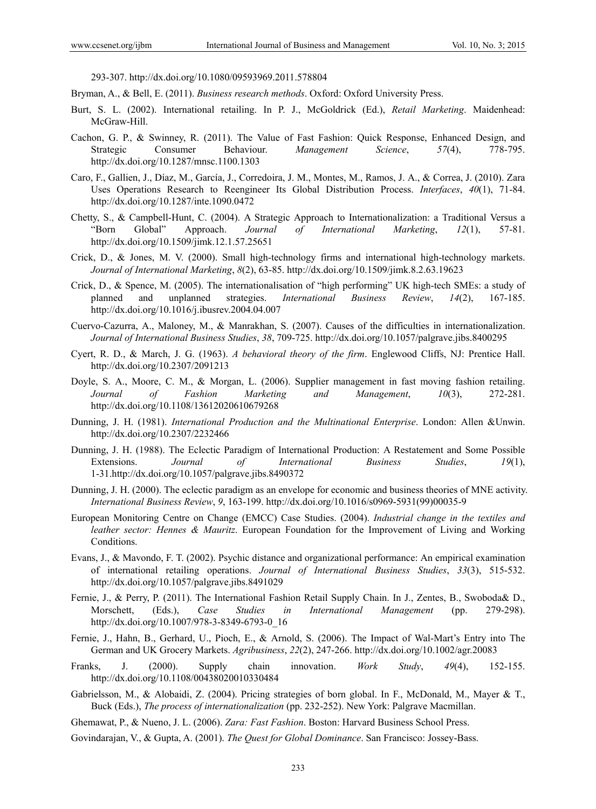293-307. http://dx.doi.org/10.1080/09593969.2011.578804

- Bryman, A., & Bell, E. (2011). *Business research methods*. Oxford: Oxford University Press.
- Burt, S. L. (2002). International retailing. In P. J., McGoldrick (Ed.), *Retail Marketing*. Maidenhead: McGraw-Hill.
- Cachon, G. P., & Swinney, R. (2011). The Value of Fast Fashion: Quick Response, Enhanced Design, and Strategic Consumer Behaviour. *Management Science*, *57*(4), 778-795. http://dx.doi.org/10.1287/mnsc.1100.1303
- Caro, F., Gallien, J., Díaz, M., García, J., Corredoira, J. M., Montes, M., Ramos, J. A., & Correa, J. (2010). Zara Uses Operations Research to Reengineer Its Global Distribution Process. *Interfaces*, *40*(1), 71-84. http://dx.doi.org/10.1287/inte.1090.0472
- Chetty, S., & Campbell-Hunt, C. (2004). A Strategic Approach to Internationalization: a Traditional Versus a "Born Global" Approach. *Journal of International Marketing*, *12*(1), 57-81. http://dx.doi.org/10.1509/jimk.12.1.57.25651
- Crick, D., & Jones, M. V. (2000). Small high-technology firms and international high-technology markets. *Journal of International Marketing*, *8*(2), 63-85. http://dx.doi.org/10.1509/jimk.8.2.63.19623
- Crick, D., & Spence, M. (2005). The internationalisation of "high performing" UK high-tech SMEs: a study of planned and unplanned strategies. *International Business Review*, *14*(2), 167-185. http://dx.doi.org/10.1016/j.ibusrev.2004.04.007
- Cuervo-Cazurra, A., Maloney, M., & Manrakhan, S. (2007). Causes of the difficulties in internationalization. *Journal of International Business Studies*, *38*, 709-725. http://dx.doi.org/10.1057/palgrave.jibs.8400295
- Cyert, R. D., & March, J. G. (1963). *A behavioral theory of the firm*. Englewood Cliffs, NJ: Prentice Hall. http://dx.doi.org/10.2307/2091213
- Doyle, S. A., Moore, C. M., & Morgan, L. (2006). Supplier management in fast moving fashion retailing. *Journal of Fashion Marketing and Management*, *10*(3), 272-281. http://dx.doi.org/10.1108/13612020610679268
- Dunning, J. H. (1981). *International Production and the Multinational Enterprise*. London: Allen &Unwin. http://dx.doi.org/10.2307/2232466
- Dunning, J. H. (1988). The Eclectic Paradigm of International Production: A Restatement and Some Possible Extensions. *Journal of International Business Studies*, *19*(1), 1-31.http://dx.doi.org/10.1057/palgrave.jibs.8490372
- Dunning, J. H. (2000). The eclectic paradigm as an envelope for economic and business theories of MNE activity. *International Business Review*, *9*, 163-199. http://dx.doi.org/10.1016/s0969-5931(99)00035-9
- European Monitoring Centre on Change (EMCC) Case Studies. (2004). *Industrial change in the textiles and leather sector: Hennes & Mauritz*. European Foundation for the Improvement of Living and Working Conditions.
- Evans, J., & Mavondo, F. T. (2002). Psychic distance and organizational performance: An empirical examination of international retailing operations. *Journal of International Business Studies*, *33*(3), 515-532. http://dx.doi.org/10.1057/palgrave.jibs.8491029
- Fernie, J., & Perry, P. (2011). The International Fashion Retail Supply Chain. In J., Zentes, B., Swoboda& D., Morschett, (Eds.), *Case Studies in International Management* (pp. 279-298). http://dx.doi.org/10.1007/978-3-8349-6793-0\_16
- Fernie, J., Hahn, B., Gerhard, U., Pioch, E., & Arnold, S. (2006). The Impact of Wal-Mart's Entry into The German and UK Grocery Markets. *Agribusiness*, *22*(2), 247-266. http://dx.doi.org/10.1002/agr.20083
- Franks, J. (2000). Supply chain innovation. *Work Study*, *49*(4), 152-155. http://dx.doi.org/10.1108/00438020010330484
- Gabrielsson, M., & Alobaidi, Z. (2004). Pricing strategies of born global. In F., McDonald, M., Mayer & T., Buck (Eds.), *The process of internationalization* (pp. 232-252). New York: Palgrave Macmillan.
- Ghemawat, P., & Nueno, J. L. (2006). *Zara: Fast Fashion*. Boston: Harvard Business School Press.
- Govindarajan, V., & Gupta, A. (2001). *The Quest for Global Dominance*. San Francisco: Jossey-Bass.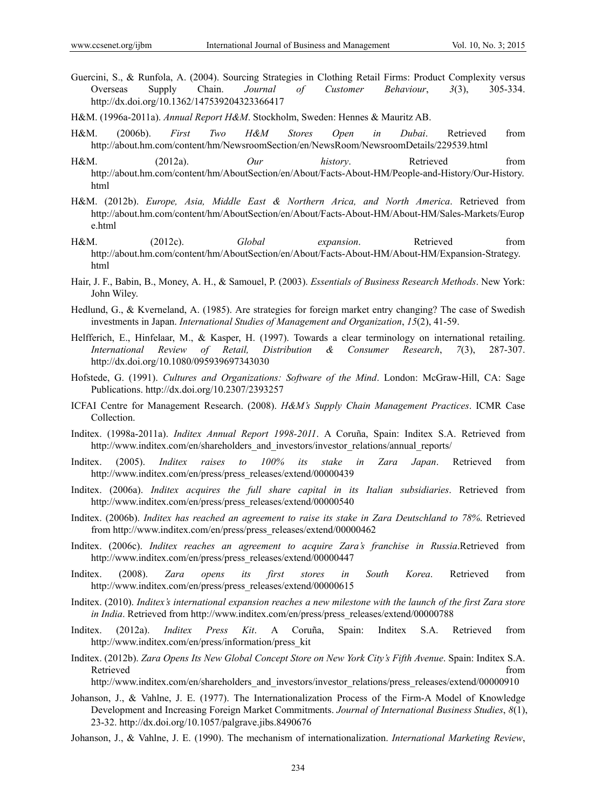- Guercini, S., & Runfola, A. (2004). Sourcing Strategies in Clothing Retail Firms: Product Complexity versus Overseas Supply Chain. *Journal of Customer Behaviour*, *3*(3), 305-334. http://dx.doi.org/10.1362/147539204323366417
- H&M. (1996a-2011a). *Annual Report H&M*. Stockholm, Sweden: Hennes & Mauritz AB.
- H&M. (2006b). *First Two H&M Stores Open in Dubai*. Retrieved from http://about.hm.com/content/hm/NewsroomSection/en/NewsRoom/NewsroomDetails/229539.html
- H&M. (2012a). *Our history*. Retrieved from http://about.hm.com/content/hm/AboutSection/en/About/Facts-About-HM/People-and-History/Our-History. html
- H&M. (2012b). *Europe, Asia, Middle East & Northern Arica, and North America*. Retrieved from http://about.hm.com/content/hm/AboutSection/en/About/Facts-About-HM/About-HM/Sales-Markets/Europ e.html
- H&M. (2012c). *Global expansion*. Retrieved from http://about.hm.com/content/hm/AboutSection/en/About/Facts-About-HM/About-HM/Expansion-Strategy. html
- Hair, J. F., Babin, B., Money, A. H., & Samouel, P. (2003). *Essentials of Business Research Methods*. New York: John Wiley.
- Hedlund, G., & Kverneland, A. (1985). Are strategies for foreign market entry changing? The case of Swedish investments in Japan. *International Studies of Management and Organization*, *15*(2), 41-59.
- Helfferich, E., Hinfelaar, M., & Kasper, H. (1997). Towards a clear terminology on international retailing. *International Review of Retail, Distribution & Consumer Research*, *7*(3), 287-307. http://dx.doi.org/10.1080/095939697343030
- Hofstede, G. (1991). *Cultures and Organizations: Software of the Mind*. London: McGraw-Hill, CA: Sage Publications. http://dx.doi.org/10.2307/2393257
- ICFAI Centre for Management Research. (2008). *H&M's Supply Chain Management Practices*. ICMR Case Collection.
- Inditex. (1998a-2011a). *Inditex Annual Report 1998-2011*. A Coruña, Spain: Inditex S.A. Retrieved from http://www.inditex.com/en/shareholders\_and\_investors/investor\_relations/annual\_reports/
- Inditex. (2005). *Inditex raises to 100% its stake in Zara Japan*. Retrieved from http://www.inditex.com/en/press/press\_releases/extend/00000439
- Inditex. (2006a). *Inditex acquires the full share capital in its Italian subsidiaries*. Retrieved from http://www.inditex.com/en/press/press\_releases/extend/00000540
- Inditex. (2006b). *Inditex has reached an agreement to raise its stake in Zara Deutschland to 78%*. Retrieved from http://www.inditex.com/en/press/press\_releases/extend/00000462
- Inditex. (2006c). *Inditex reaches an agreement to acquire Zara's franchise in Russia*.Retrieved from http://www.inditex.com/en/press/press\_releases/extend/00000447
- Inditex. (2008). *Zara opens its first stores in South Korea*. Retrieved from http://www.inditex.com/en/press/press\_releases/extend/00000615
- Inditex. (2010). *Inditex's international expansion reaches a new milestone with the launch of the first Zara store in India*. Retrieved from http://www.inditex.com/en/press/press\_releases/extend/00000788
- Inditex. (2012a). *Inditex Press Kit*. A Coruña, Spain: Inditex S.A. Retrieved from http://www.inditex.com/en/press/information/press\_kit
- Inditex. (2012b). *Zara Opens Its New Global Concept Store on New York City's Fifth Avenue*. Spain: Inditex S.A. Retrieved that the contract of the contract of the contract of the contract of the contract of the contract of the contract of the contract of the contract of the contract of the contract of the contract of the contract of

http://www.inditex.com/en/shareholders\_and\_investors/investor\_relations/press\_releases/extend/00000910

- Johanson, J., & Vahlne, J. E. (1977). The Internationalization Process of the Firm-A Model of Knowledge Development and Increasing Foreign Market Commitments. *Journal of International Business Studies*, *8*(1), 23-32. http://dx.doi.org/10.1057/palgrave.jibs.8490676
- Johanson, J., & Vahlne, J. E. (1990). The mechanism of internationalization. *International Marketing Review*,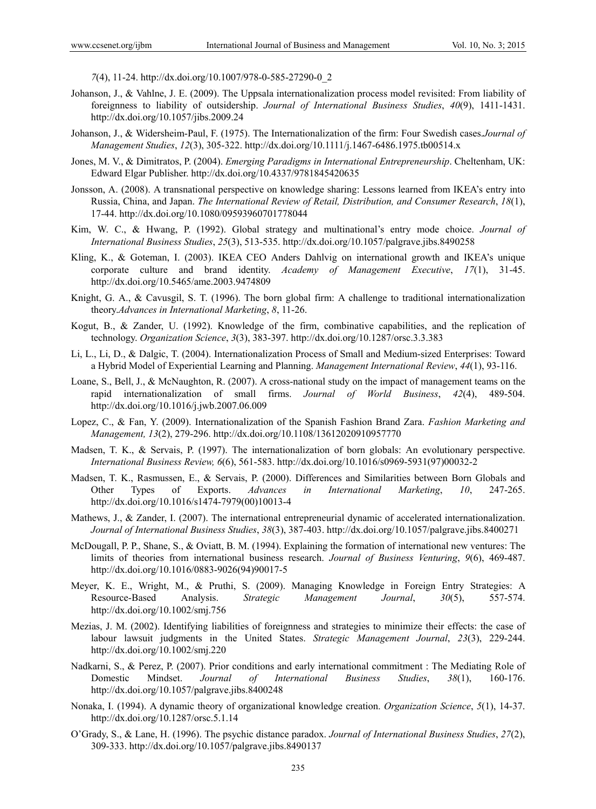*7*(4), 11-24. http://dx.doi.org/10.1007/978-0-585-27290-0\_2

- Johanson, J., & Vahlne, J. E. (2009). The Uppsala internationalization process model revisited: From liability of foreignness to liability of outsidership. *Journal of International Business Studies*, *40*(9), 1411-1431. http://dx.doi.org/10.1057/jibs.2009.24
- Johanson, J., & Widersheim-Paul, F. (1975). The Internationalization of the firm: Four Swedish cases.*Journal of Management Studies*, *12*(3), 305-322. http://dx.doi.org/10.1111/j.1467-6486.1975.tb00514.x
- Jones, M. V., & Dimitratos, P. (2004). *Emerging Paradigms in International Entrepreneurship*. Cheltenham, UK: Edward Elgar Publisher. http://dx.doi.org/10.4337/9781845420635
- Jonsson, A. (2008). A transnational perspective on knowledge sharing: Lessons learned from IKEA's entry into Russia, China, and Japan. *The International Review of Retail, Distribution, and Consumer Research*, *18*(1), 17-44. http://dx.doi.org/10.1080/09593960701778044
- Kim, W. C., & Hwang, P. (1992). Global strategy and multinational's entry mode choice. *Journal of International Business Studies*, *25*(3), 513-535. http://dx.doi.org/10.1057/palgrave.jibs.8490258
- Kling, K., & Goteman, I. (2003). IKEA CEO Anders Dahlvig on international growth and IKEA's unique corporate culture and brand identity. *Academy of Management Executive*, *17*(1), 31-45. http://dx.doi.org/10.5465/ame.2003.9474809
- Knight, G. A., & Cavusgil, S. T. (1996). The born global firm: A challenge to traditional internationalization theory.*Advances in International Marketing*, *8*, 11-26.
- Kogut, B., & Zander, U. (1992). Knowledge of the firm, combinative capabilities, and the replication of technology. *Organization Science*, *3*(3), 383-397. http://dx.doi.org/10.1287/orsc.3.3.383
- Li, L., Li, D., & Dalgic, T. (2004). Internationalization Process of Small and Medium-sized Enterprises: Toward a Hybrid Model of Experiential Learning and Planning. *Management International Review*, *44*(1), 93-116.
- Loane, S., Bell, J., & McNaughton, R. (2007). A cross-national study on the impact of management teams on the rapid internationalization of small firms. *Journal of World Business*, *42*(4), 489-504. http://dx.doi.org/10.1016/j.jwb.2007.06.009
- Lopez, C., & Fan, Y. (2009). Internationalization of the Spanish Fashion Brand Zara. *Fashion Marketing and Management, 13*(2), 279-296. http://dx.doi.org/10.1108/13612020910957770
- Madsen, T. K., & Servais, P. (1997). The internationalization of born globals: An evolutionary perspective. *International Business Review, 6*(6), 561-583. http://dx.doi.org/10.1016/s0969-5931(97)00032-2
- Madsen, T. K., Rasmussen, E., & Servais, P. (2000). Differences and Similarities between Born Globals and Other Types of Exports. *Advances in International Marketing*, *10*, 247-265. http://dx.doi.org/10.1016/s1474-7979(00)10013-4
- Mathews, J., & Zander, I. (2007). The international entrepreneurial dynamic of accelerated internationalization. *Journal of International Business Studies*, *38*(3), 387-403. http://dx.doi.org/10.1057/palgrave.jibs.8400271
- McDougall, P. P., Shane, S., & Oviatt, B. M. (1994). Explaining the formation of international new ventures: The limits of theories from international business research. *Journal of Business Venturing*, *9*(6), 469-487. http://dx.doi.org/10.1016/0883-9026(94)90017-5
- Meyer, K. E., Wright, M., & Pruthi, S. (2009). Managing Knowledge in Foreign Entry Strategies: A Resource-Based Analysis. *Strategic Management Journal*, *30*(5), 557-574. http://dx.doi.org/10.1002/smj.756
- Mezias, J. M. (2002). Identifying liabilities of foreignness and strategies to minimize their effects: the case of labour lawsuit judgments in the United States. *Strategic Management Journal*, *23*(3), 229-244. http://dx.doi.org/10.1002/smj.220
- Nadkarni, S., & Perez, P. (2007). Prior conditions and early international commitment : The Mediating Role of Domestic Mindset. *Journal of International Business Studies*, *38*(1), 160-176. http://dx.doi.org/10.1057/palgrave.jibs.8400248
- Nonaka, I. (1994). A dynamic theory of organizational knowledge creation. *Organization Science*, *5*(1), 14-37. http://dx.doi.org/10.1287/orsc.5.1.14
- O'Grady, S., & Lane, H. (1996). The psychic distance paradox. *Journal of International Business Studies*, *27*(2), 309-333. http://dx.doi.org/10.1057/palgrave.jibs.8490137